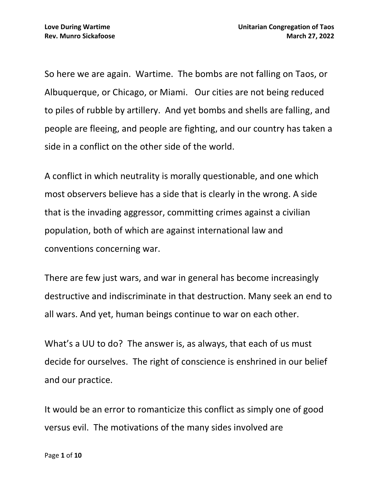So here we are again. Wartime. The bombs are not falling on Taos, or Albuquerque, or Chicago, or Miami. Our cities are not being reduced to piles of rubble by artillery. And yet bombs and shells are falling, and people are fleeing, and people are fighting, and our country has taken a side in a conflict on the other side of the world.

A conflict in which neutrality is morally questionable, and one which most observers believe has a side that is clearly in the wrong. A side that is the invading aggressor, committing crimes against a civilian population, both of which are against international law and conventions concerning war.

There are few just wars, and war in general has become increasingly destructive and indiscriminate in that destruction. Many seek an end to all wars. And yet, human beings continue to war on each other.

What's a UU to do? The answer is, as always, that each of us must decide for ourselves. The right of conscience is enshrined in our belief and our practice.

It would be an error to romanticize this conflict as simply one of good versus evil. The motivations of the many sides involved are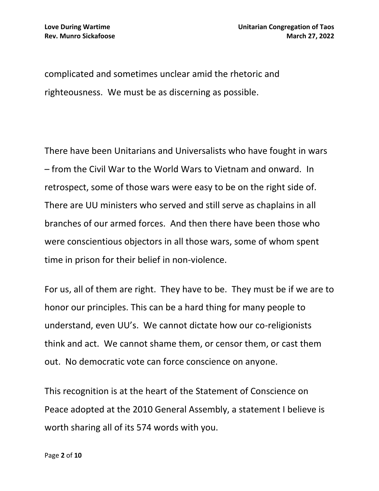complicated and sometimes unclear amid the rhetoric and righteousness. We must be as discerning as possible.

There have been Unitarians and Universalists who have fought in wars – from the Civil War to the World Wars to Vietnam and onward. In retrospect, some of those wars were easy to be on the right side of. There are UU ministers who served and still serve as chaplains in all branches of our armed forces. And then there have been those who were conscientious objectors in all those wars, some of whom spent time in prison for their belief in non-violence.

For us, all of them are right. They have to be. They must be if we are to honor our principles. This can be a hard thing for many people to understand, even UU's. We cannot dictate how our co-religionists think and act. We cannot shame them, or censor them, or cast them out. No democratic vote can force conscience on anyone.

This recognition is at the heart of the Statement of Conscience on Peace adopted at the 2010 General Assembly, a statement I believe is worth sharing all of its 574 words with you.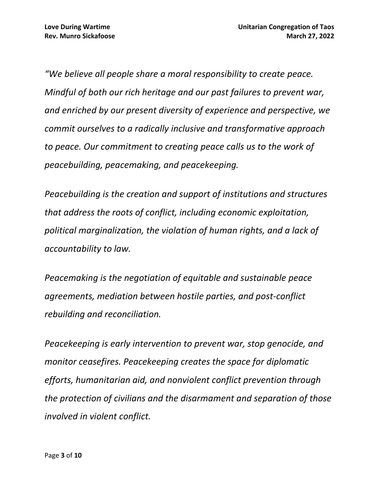*"We believe all people share a moral responsibility to create peace. Mindful of both our rich heritage and our past failures to prevent war, and enriched by our present diversity of experience and perspective, we commit ourselves to a radically inclusive and transformative approach to peace. Our commitment to creating peace calls us to the work of peacebuilding, peacemaking, and peacekeeping.*

*Peacebuilding is the creation and support of institutions and structures that address the roots of conflict, including economic exploitation, political marginalization, the violation of human rights, and a lack of accountability to law.*

*Peacemaking is the negotiation of equitable and sustainable peace agreements, mediation between hostile parties, and post‐conflict rebuilding and reconciliation.*

*Peacekeeping is early intervention to prevent war, stop genocide, and monitor ceasefires. Peacekeeping creates the space for diplomatic efforts, humanitarian aid, and nonviolent conflict prevention through the protection of civilians and the disarmament and separation of those involved in violent conflict.*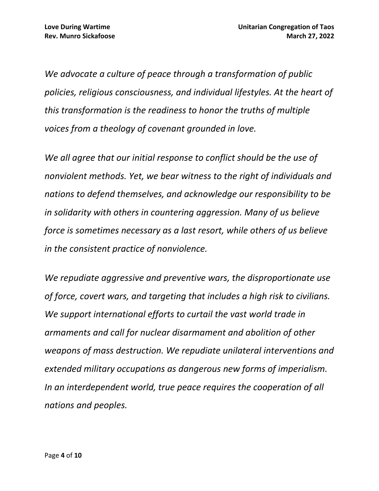*We advocate a culture of peace through a transformation of public policies, religious consciousness, and individual lifestyles. At the heart of this transformation is the readiness to honor the truths of multiple voices from a theology of covenant grounded in love.*

*We all agree that our initial response to conflict should be the use of nonviolent methods. Yet, we bear witness to the right of individuals and nations to defend themselves, and acknowledge our responsibility to be in solidarity with others in countering aggression. Many of us believe force is sometimes necessary as a last resort, while others of us believe in the consistent practice of nonviolence.*

*We repudiate aggressive and preventive wars, the disproportionate use of force, covert wars, and targeting that includes a high risk to civilians. We support international efforts to curtail the vast world trade in armaments and call for nuclear disarmament and abolition of other weapons of mass destruction. We repudiate unilateral interventions and extended military occupations as dangerous new forms of imperialism. In an interdependent world, true peace requires the cooperation of all nations and peoples.*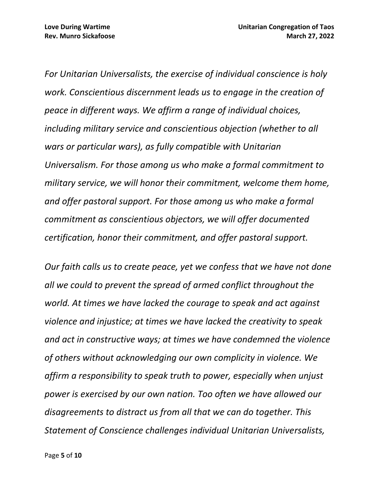*For Unitarian Universalists, the exercise of individual conscience is holy work. Conscientious discernment leads us to engage in the creation of peace in different ways. We affirm a range of individual choices, including military service and conscientious objection (whether to all wars or particular wars), as fully compatible with Unitarian Universalism. For those among us who make a formal commitment to military service, we will honor their commitment, welcome them home, and offer pastoral support. For those among us who make a formal commitment as conscientious objectors, we will offer documented certification, honor their commitment, and offer pastoral support.*

*Our faith calls us to create peace, yet we confess that we have not done all we could to prevent the spread of armed conflict throughout the world. At times we have lacked the courage to speak and act against violence and injustice; at times we have lacked the creativity to speak and act in constructive ways; at times we have condemned the violence of others without acknowledging our own complicity in violence. We affirm a responsibility to speak truth to power, especially when unjust power is exercised by our own nation. Too often we have allowed our disagreements to distract us from all that we can do together. This Statement of Conscience challenges individual Unitarian Universalists,*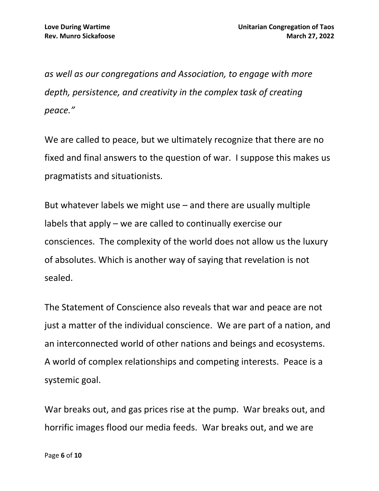*as well as our congregations and Association, to engage with more depth, persistence, and creativity in the complex task of creating peace."*

We are called to peace, but we ultimately recognize that there are no fixed and final answers to the question of war. I suppose this makes us pragmatists and situationists.

But whatever labels we might use – and there are usually multiple labels that apply – we are called to continually exercise our consciences. The complexity of the world does not allow us the luxury of absolutes. Which is another way of saying that revelation is not sealed.

The Statement of Conscience also reveals that war and peace are not just a matter of the individual conscience. We are part of a nation, and an interconnected world of other nations and beings and ecosystems. A world of complex relationships and competing interests. Peace is a systemic goal.

War breaks out, and gas prices rise at the pump. War breaks out, and horrific images flood our media feeds. War breaks out, and we are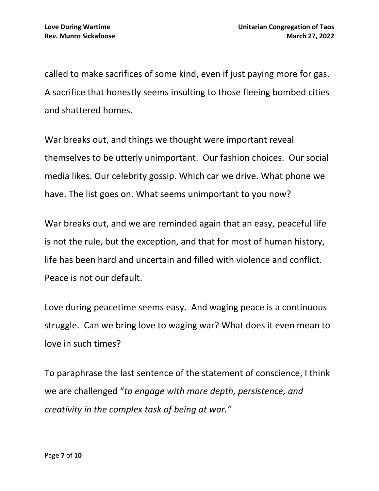called to make sacrifices of some kind, even if just paying more for gas. A sacrifice that honestly seems insulting to those fleeing bombed cities and shattered homes.

War breaks out, and things we thought were important reveal themselves to be utterly unimportant. Our fashion choices. Our social media likes. Our celebrity gossip. Which car we drive. What phone we have. The list goes on. What seems unimportant to you now?

War breaks out, and we are reminded again that an easy, peaceful life is not the rule, but the exception, and that for most of human history, life has been hard and uncertain and filled with violence and conflict. Peace is not our default.

Love during peacetime seems easy. And waging peace is a continuous struggle. Can we bring love to waging war? What does it even mean to love in such times?

To paraphrase the last sentence of the statement of conscience, I think we are challenged "*to engage with more depth, persistence, and creativity in the complex task of being at war."*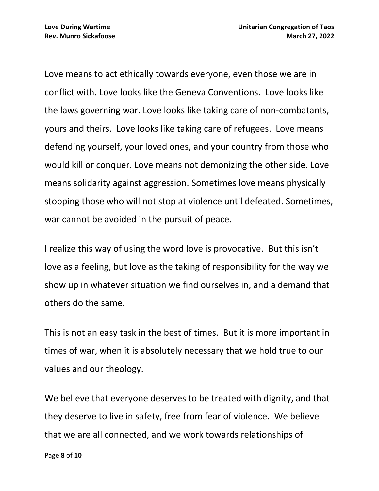Love means to act ethically towards everyone, even those we are in conflict with. Love looks like the Geneva Conventions. Love looks like the laws governing war. Love looks like taking care of non-combatants, yours and theirs. Love looks like taking care of refugees. Love means defending yourself, your loved ones, and your country from those who would kill or conquer. Love means not demonizing the other side. Love means solidarity against aggression. Sometimes love means physically stopping those who will not stop at violence until defeated. Sometimes, war cannot be avoided in the pursuit of peace.

I realize this way of using the word love is provocative. But this isn't love as a feeling, but love as the taking of responsibility for the way we show up in whatever situation we find ourselves in, and a demand that others do the same.

This is not an easy task in the best of times. But it is more important in times of war, when it is absolutely necessary that we hold true to our values and our theology.

We believe that everyone deserves to be treated with dignity, and that they deserve to live in safety, free from fear of violence. We believe that we are all connected, and we work towards relationships of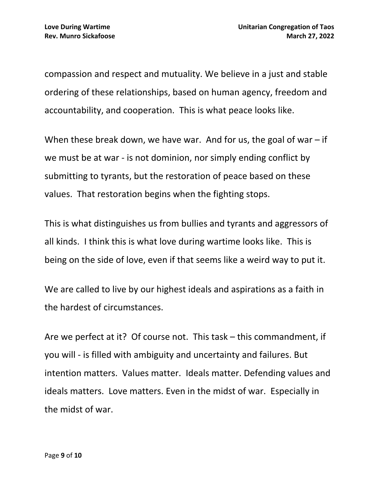compassion and respect and mutuality. We believe in a just and stable ordering of these relationships, based on human agency, freedom and accountability, and cooperation. This is what peace looks like.

When these break down, we have war. And for us, the goal of war  $-$  if we must be at war - is not dominion, nor simply ending conflict by submitting to tyrants, but the restoration of peace based on these values. That restoration begins when the fighting stops.

This is what distinguishes us from bullies and tyrants and aggressors of all kinds. I think this is what love during wartime looks like. This is being on the side of love, even if that seems like a weird way to put it.

We are called to live by our highest ideals and aspirations as a faith in the hardest of circumstances.

Are we perfect at it? Of course not. This task – this commandment, if you will - is filled with ambiguity and uncertainty and failures. But intention matters. Values matter. Ideals matter. Defending values and ideals matters. Love matters. Even in the midst of war. Especially in the midst of war.